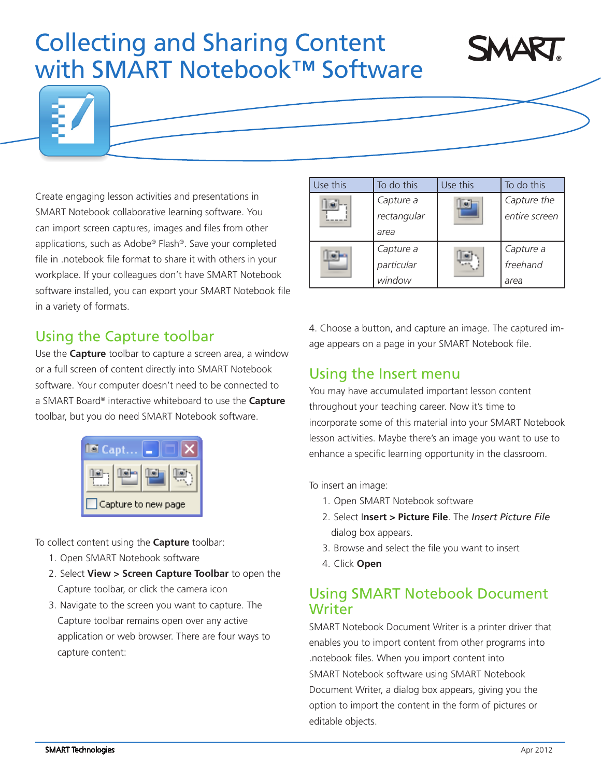# Collecting and Sharing Content with SMART Notebook™ Software





Create engaging lesson activities and presentations in SMART Notebook collaborative learning software. You can import screen captures, images and files from other applications, such as Adobe® Flash®. Save your completed file in .notebook file format to share it with others in your workplace. If your colleagues don't have SMART Notebook software installed, you can export your SMART Notebook file in a variety of formats.

# Using the Capture toolbar

Use the **Capture** toolbar to capture a screen area, a window or a full screen of content directly into SMART Notebook software. Your computer doesn't need to be connected to a SMART Board® interactive whiteboard to use the **Capture** toolbar, but you do need SMART Notebook software.



To collect content using the **Capture** toolbar:

- 1. Open SMART Notebook software
- 2. Select **View > Screen Capture Toolbar** to open the Capture toolbar, or click the camera icon
- 3. Navigate to the screen you want to capture. The Capture toolbar remains open over any active application or web browser. There are four ways to capture content:

| Use this | To do this  | Use this | To do this    |
|----------|-------------|----------|---------------|
|          | Capture a   |          | Capture the   |
|          | rectangular |          | entire screen |
|          | area        |          |               |
|          | Capture a   |          | Capture a     |
|          | particular  |          | freehand      |
|          | window      |          | area          |

4. Choose a button, and capture an image. The captured image appears on a page in your SMART Notebook file.

# Using the Insert menu

You may have accumulated important lesson content throughout your teaching career. Now it's time to incorporate some of this material into your SMART Notebook lesson activities. Maybe there's an image you want to use to enhance a specific learning opportunity in the classroom.

To insert an image:

- 1. Open SMART Notebook software
- 2. Select I**nsert > Picture File**. The *Insert Picture File* dialog box appears.
- 3. Browse and select the file you want to insert
- 4. Click **Open**

### Using SMART Notebook Document **Writer**

SMART Notebook Document Writer is a printer driver that enables you to import content from other programs into .notebook files. When you import content into SMART Notebook software using SMART Notebook Document Writer, a dialog box appears, giving you the option to import the content in the form of pictures or editable objects.